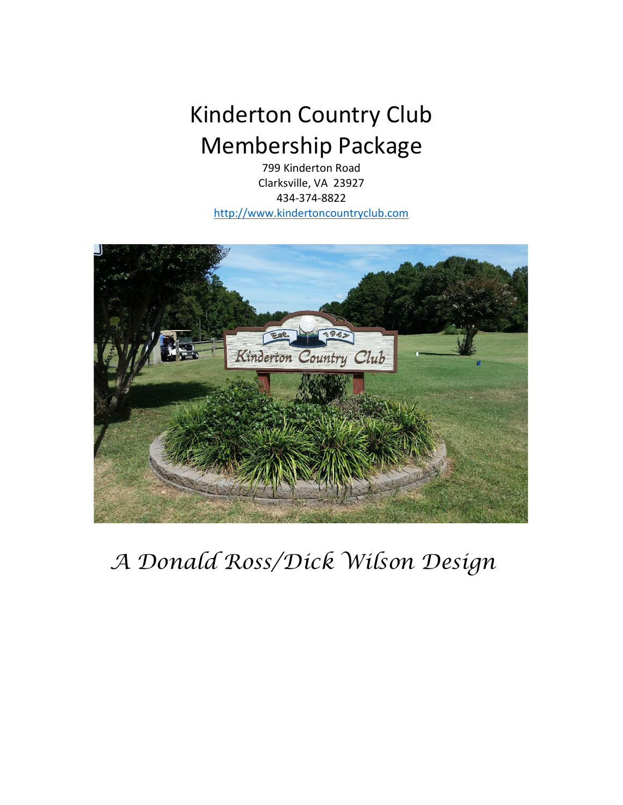## Kinderton Country Club Membership Package

799 Kinderton Road Clarksville, VA 23927 434-374-8822 [http://www.kindertoncountryclub.com](http://www.kindertoncountryclub.com/)



*A Donald Ross/Dick Wilson Design*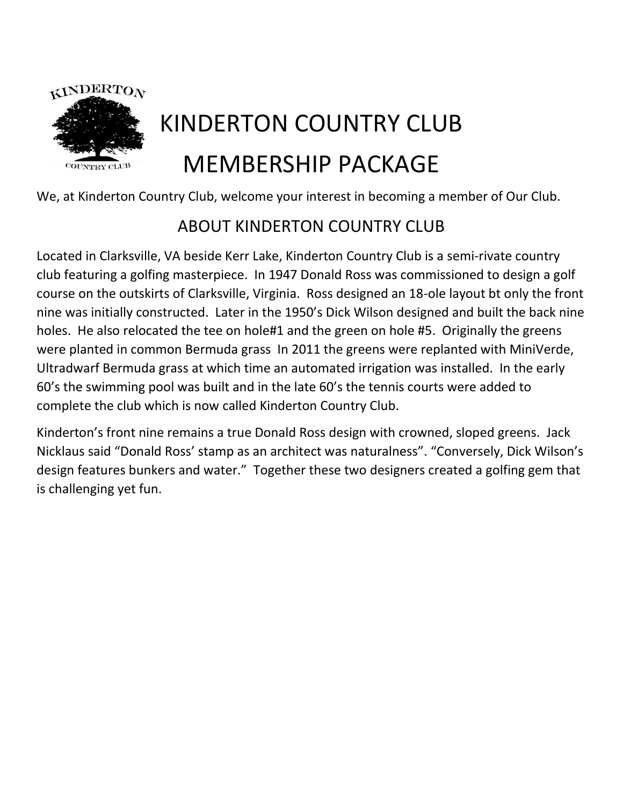

# KINDERTON COUNTRY CLUB MEMBERSHIP PACKAGE

We, at Kinderton Country Club, welcome your interest in becoming a member of Our Club.

## ABOUT KINDERTON COUNTRY CLUB

Located in Clarksville, VA beside Kerr Lake, Kinderton Country Club is a semi-rivate country club featuring a golfing masterpiece. In 1947 Donald Ross was commissioned to design a golf course on the outskirts of Clarksville, Virginia. Ross designed an 18-ole layout bt only the front nine was initially constructed. Later in the 1950's Dick Wilson designed and built the back nine holes. He also relocated the tee on hole#1 and the green on hole #5. Originally the greens were planted in common Bermuda grass In 2011 the greens were replanted with MiniVerde, Ultradwarf Bermuda grass at which time an automated irrigation was installed. In the early 60's the swimming pool was built and in the late 60's the tennis courts were added to complete the club which is now called Kinderton Country Club.

Kinderton's front nine remains a true Donald Ross design with crowned, sloped greens. Jack Nicklaus said "Donald Ross' stamp as an architect was naturalness". "Conversely, Dick Wilson's design features bunkers and water." Together these two designers created a golfing gem that is challenging yet fun.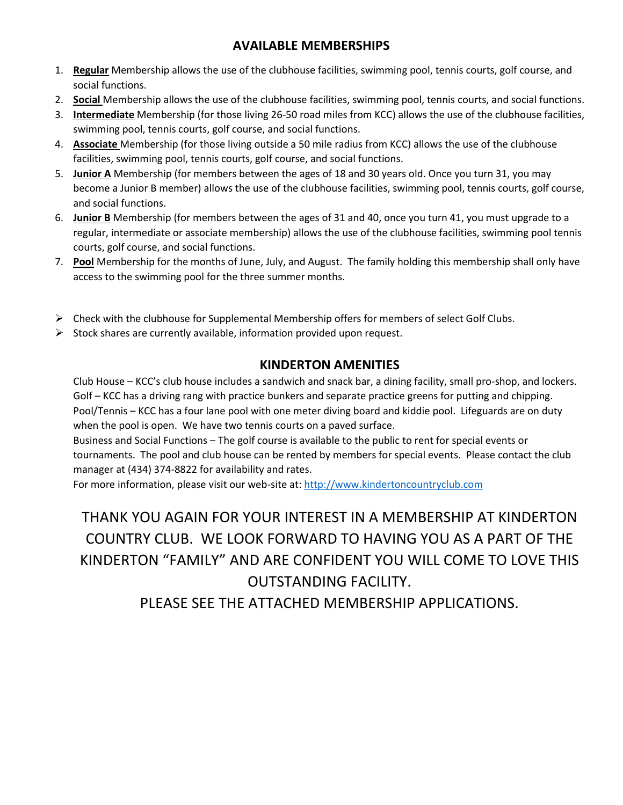#### **AVAILABLE MEMBERSHIPS**

- 1. **Regular** Membership allows the use of the clubhouse facilities, swimming pool, tennis courts, golf course, and social functions.
- 2. **Social** Membership allows the use of the clubhouse facilities, swimming pool, tennis courts, and social functions.
- 3. **Intermediate** Membership (for those living 26-50 road miles from KCC) allows the use of the clubhouse facilities, swimming pool, tennis courts, golf course, and social functions.
- 4. **Associate** Membership (for those living outside a 50 mile radius from KCC) allows the use of the clubhouse facilities, swimming pool, tennis courts, golf course, and social functions.
- 5. **Junior A** Membership (for members between the ages of 18 and 30 years old. Once you turn 31, you may become a Junior B member) allows the use of the clubhouse facilities, swimming pool, tennis courts, golf course, and social functions.
- 6. **Junior B** Membership (for members between the ages of 31 and 40, once you turn 41, you must upgrade to a regular, intermediate or associate membership) allows the use of the clubhouse facilities, swimming pool tennis courts, golf course, and social functions.
- 7. **Pool** Membership for the months of June, July, and August. The family holding this membership shall only have access to the swimming pool for the three summer months.
- $\triangleright$  Check with the clubhouse for Supplemental Membership offers for members of select Golf Clubs.
- $\triangleright$  Stock shares are currently available, information provided upon request.

#### **KINDERTON AMENITIES**

Club House – KCC's club house includes a sandwich and snack bar, a dining facility, small pro-shop, and lockers. Golf – KCC has a driving rang with practice bunkers and separate practice greens for putting and chipping. Pool/Tennis – KCC has a four lane pool with one meter diving board and kiddie pool. Lifeguards are on duty when the pool is open. We have two tennis courts on a paved surface.

Business and Social Functions – The golf course is available to the public to rent for special events or tournaments. The pool and club house can be rented by members for special events. Please contact the club manager at (434) 374-8822 for availability and rates.

For more information, please visit our web-site at: [http://www.kindertoncountryclub.com](http://www.kindertoncountryclub.com/)

THANK YOU AGAIN FOR YOUR INTEREST IN A MEMBERSHIP AT KINDERTON COUNTRY CLUB. WE LOOK FORWARD TO HAVING YOU AS A PART OF THE KINDERTON "FAMILY" AND ARE CONFIDENT YOU WILL COME TO LOVE THIS OUTSTANDING FACILITY.

PLEASE SEE THE ATTACHED MEMBERSHIP APPLICATIONS.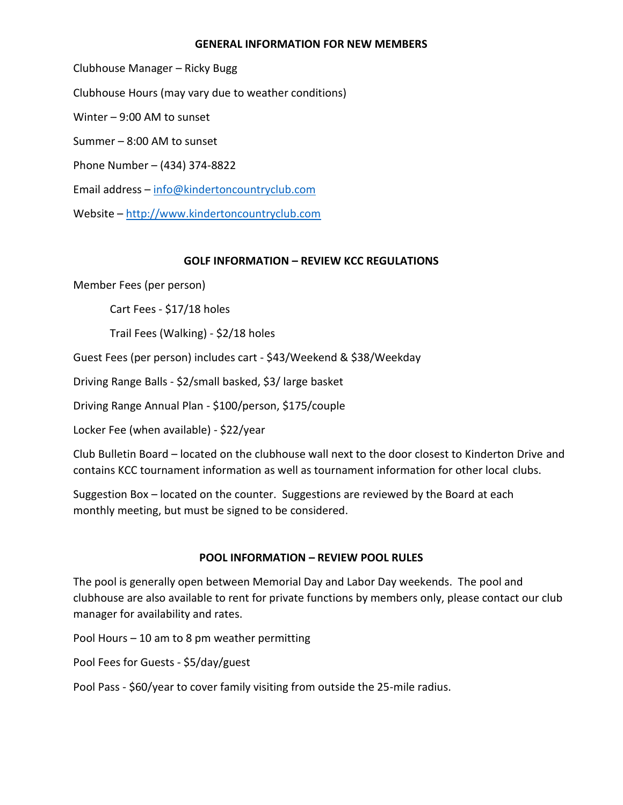#### **GENERAL INFORMATION FOR NEW MEMBERS**

Clubhouse Manager – Ricky Bugg Clubhouse Hours (may vary due to weather conditions) Winter – 9:00 AM to sunset Summer – 8:00 AM to sunset Phone Number – (434) 374-8822 Email address – [info@kindertoncountryclub.com](mailto:info@kindertoncountryclub.com) Website – [http://www.kindertoncountryclub.com](http://www.kindertoncountryclub.com/)

#### **GOLF INFORMATION – REVIEW KCC REGULATIONS**

Member Fees (per person)

Cart Fees - \$17/18 holes

Trail Fees (Walking) - \$2/18 holes

Guest Fees (per person) includes cart - \$43/Weekend & \$38/Weekday

Driving Range Balls - \$2/small basked, \$3/ large basket

Driving Range Annual Plan - \$100/person, \$175/couple

Locker Fee (when available) - \$22/year

Club Bulletin Board – located on the clubhouse wall next to the door closest to Kinderton Drive and contains KCC tournament information as well as tournament information for other local clubs.

Suggestion Box – located on the counter. Suggestions are reviewed by the Board at each monthly meeting, but must be signed to be considered.

#### **POOL INFORMATION – REVIEW POOL RULES**

The pool is generally open between Memorial Day and Labor Day weekends. The pool and clubhouse are also available to rent for private functions by members only, please contact our club manager for availability and rates.

Pool Hours – 10 am to 8 pm weather permitting

Pool Fees for Guests - \$5/day/guest

Pool Pass - \$60/year to cover family visiting from outside the 25-mile radius.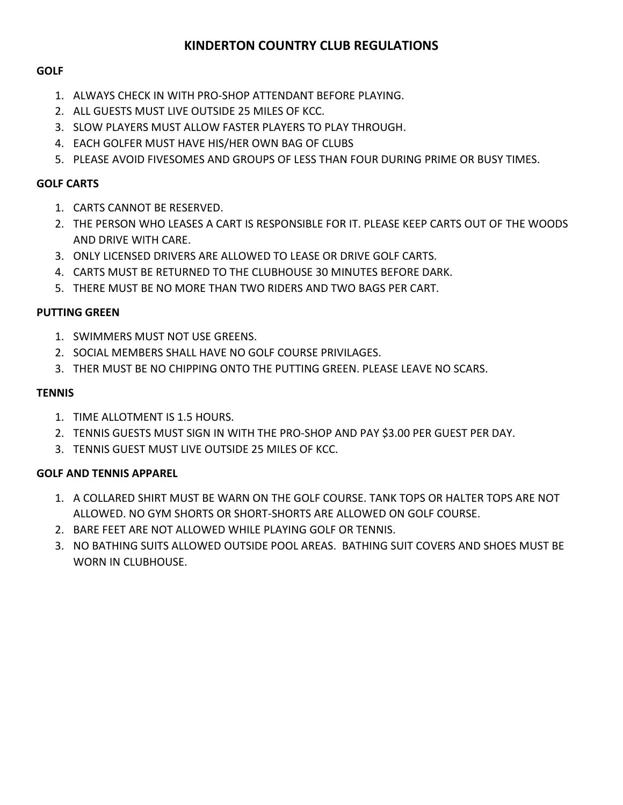#### **KINDERTON COUNTRY CLUB REGULATIONS**

#### **GOLF**

- 1. ALWAYS CHECK IN WITH PRO-SHOP ATTENDANT BEFORE PLAYING.
- 2. ALL GUESTS MUST LIVE OUTSIDE 25 MILES OF KCC.
- 3. SLOW PLAYERS MUST ALLOW FASTER PLAYERS TO PLAY THROUGH.
- 4. EACH GOLFER MUST HAVE HIS/HER OWN BAG OF CLUBS
- 5. PLEASE AVOID FIVESOMES AND GROUPS OF LESS THAN FOUR DURING PRIME OR BUSY TIMES.

#### **GOLF CARTS**

- 1. CARTS CANNOT BE RESERVED.
- 2. THE PERSON WHO LEASES A CART IS RESPONSIBLE FOR IT. PLEASE KEEP CARTS OUT OF THE WOODS AND DRIVE WITH CARE.
- 3. ONLY LICENSED DRIVERS ARE ALLOWED TO LEASE OR DRIVE GOLF CARTS.
- 4. CARTS MUST BE RETURNED TO THE CLUBHOUSE 30 MINUTES BEFORE DARK.
- 5. THERE MUST BE NO MORE THAN TWO RIDERS AND TWO BAGS PER CART.

#### **PUTTING GREEN**

- 1. SWIMMERS MUST NOT USE GREENS.
- 2. SOCIAL MEMBERS SHALL HAVE NO GOLF COURSE PRIVILAGES.
- 3. THER MUST BE NO CHIPPING ONTO THE PUTTING GREEN. PLEASE LEAVE NO SCARS.

#### **TENNIS**

- 1. TIME ALLOTMENT IS 1.5 HOURS.
- 2. TENNIS GUESTS MUST SIGN IN WITH THE PRO-SHOP AND PAY \$3.00 PER GUEST PER DAY.
- 3. TENNIS GUEST MUST LIVE OUTSIDE 25 MILES OF KCC.

#### **GOLF AND TENNIS APPAREL**

- 1. A COLLARED SHIRT MUST BE WARN ON THE GOLF COURSE. TANK TOPS OR HALTER TOPS ARE NOT ALLOWED. NO GYM SHORTS OR SHORT-SHORTS ARE ALLOWED ON GOLF COURSE.
- 2. BARE FEET ARE NOT ALLOWED WHILE PLAYING GOLF OR TENNIS.
- 3. NO BATHING SUITS ALLOWED OUTSIDE POOL AREAS. BATHING SUIT COVERS AND SHOES MUST BE WORN IN CLUBHOUSE.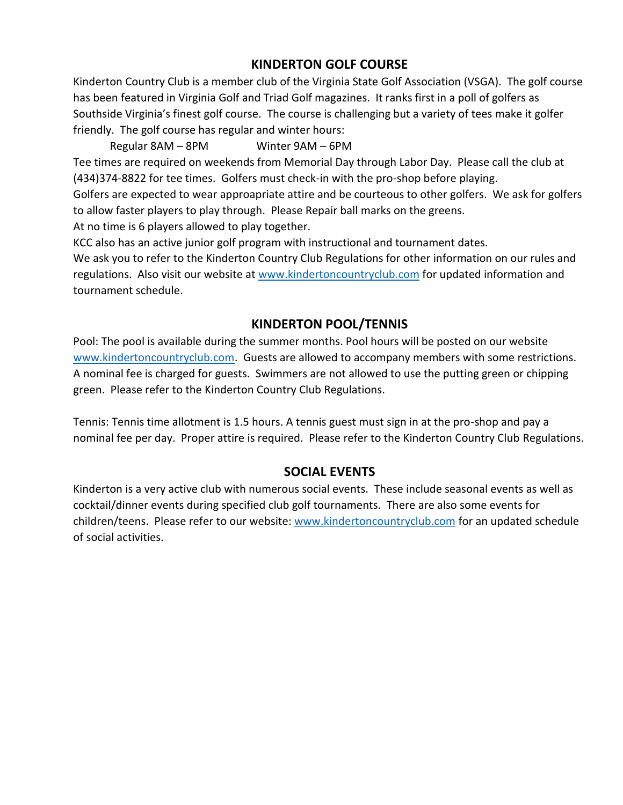#### **KINDERTON GOLF COURSE**

Kinderton Country Club is a member club of the Virginia State Golf Association (VSGA). The golf course has been featured in Virginia Golf and Triad Golf magazines. It ranks first in a poll of golfers as Southside Virginia's finest golf course. The course is challenging but a variety of tees make it golfer friendly. The golf course has regular and winter hours:

Regular 8AM – 8PM Winter 9AM – 6PM

Tee times are required on weekends from Memorial Day through Labor Day. Please call the club at (434)374-8822 for tee times. Golfers must check-in with the pro-shop before playing.

Golfers are expected to wear approapriate attire and be courteous to other golfers. We ask for golfers to allow faster players to play through. Please Repair ball marks on the greens.

At no time is 6 players allowed to play together.

KCC also has an active junior golf program with instructional and tournament dates.

We ask you to refer to the Kinderton Country Club Regulations for other information on our rules and regulations. Also visit our website at [www.kindertoncountryclub.com](http://www.kindertoncountryclub.com/) for updated information and tournament schedule.

#### **KINDERTON POOL/TENNIS**

Pool: The pool is available during the summer months. Pool hours will be posted on our website [www.kindertoncountryclub.com.](http://www.kindertoncountryclub.com/) Guests are allowed to accompany members with some restrictions. A nominal fee is charged for guests. Swimmers are not allowed to use the putting green or chipping green. Please refer to the Kinderton Country Club Regulations.

Tennis: Tennis time allotment is 1.5 hours. A tennis guest must sign in at the pro-shop and pay a nominal fee per day. Proper attire is required. Please refer to the Kinderton Country Club Regulations.

#### **SOCIAL EVENTS**

Kinderton is a very active club with numerous social events. These include seasonal events as well as cocktail/dinner events during specified club golf tournaments. There are also some events for children/teens. Please refer to our website: [www.kindertoncountryclub.com](http://www.kindertoncountryclub.com/) for an updated schedule of social activities.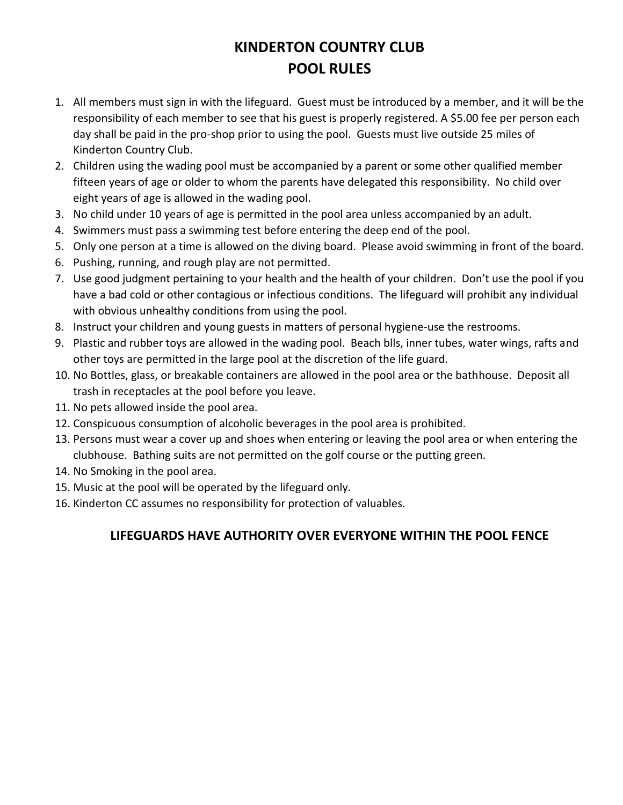### **KINDERTON COUNTRY CLUB POOL RULES**

- 1. All members must sign in with the lifeguard. Guest must be introduced by a member, and it will be the responsibility of each member to see that his guest is properly registered. A \$5.00 fee per person each day shall be paid in the pro-shop prior to using the pool. Guests must live outside 25 miles of Kinderton Country Club.
- 2. Children using the wading pool must be accompanied by a parent or some other qualified member fifteen years of age or older to whom the parents have delegated this responsibility. No child over eight years of age is allowed in the wading pool.
- 3. No child under 10 years of age is permitted in the pool area unless accompanied by an adult.
- 4. Swimmers must pass a swimming test before entering the deep end of the pool.
- 5. Only one person at a time is allowed on the diving board. Please avoid swimming in front of the board.
- 6. Pushing, running, and rough play are not permitted.
- 7. Use good judgment pertaining to your health and the health of your children. Don't use the pool if you have a bad cold or other contagious or infectious conditions. The lifeguard will prohibit any individual with obvious unhealthy conditions from using the pool.
- 8. Instruct your children and young guests in matters of personal hygiene-use the restrooms.
- 9. Plastic and rubber toys are allowed in the wading pool. Beach blls, inner tubes, water wings, rafts and other toys are permitted in the large pool at the discretion of the life guard.
- 10. No Bottles, glass, or breakable containers are allowed in the pool area or the bathhouse. Deposit all trash in receptacles at the pool before you leave.
- 11. No pets allowed inside the pool area.
- 12. Conspicuous consumption of alcoholic beverages in the pool area is prohibited.
- 13. Persons must wear a cover up and shoes when entering or leaving the pool area or when entering the clubhouse. Bathing suits are not permitted on the golf course or the putting green.
- 14. No Smoking in the pool area.
- 15. Music at the pool will be operated by the lifeguard only.
- 16. Kinderton CC assumes no responsibility for protection of valuables.

#### **LIFEGUARDS HAVE AUTHORITY OVER EVERYONE WITHIN THE POOL FENCE**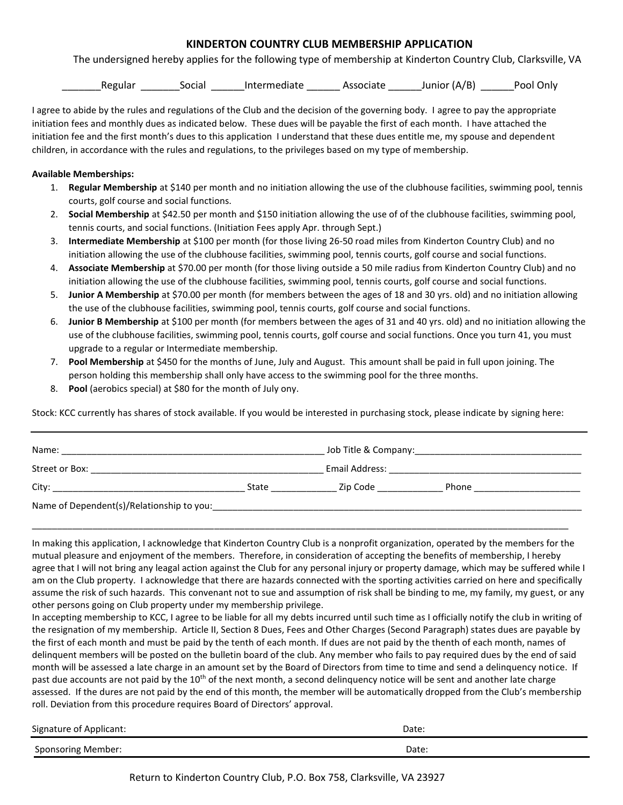#### **KINDERTON COUNTRY CLUB MEMBERSHIP APPLICATION**

The undersigned hereby applies for the following type of membership at Kinderton Country Club, Clarksville, VA

Regular Social Intermediate Associate Junior (A/B) Pool Only

I agree to abide by the rules and regulations of the Club and the decision of the governing body. I agree to pay the appropriate initiation fees and monthly dues as indicated below. These dues will be payable the first of each month. I have attached the initiation fee and the first month's dues to this application I understand that these dues entitle me, my spouse and dependent children, in accordance with the rules and regulations, to the privileges based on my type of membership.

#### **Available Memberships:**

- 1. **Regular Membership** at \$140 per month and no initiation allowing the use of the clubhouse facilities, swimming pool, tennis courts, golf course and social functions.
- 2. **Social Membership** at \$42.50 per month and \$150 initiation allowing the use of of the clubhouse facilities, swimming pool, tennis courts, and social functions. (Initiation Fees apply Apr. through Sept.)
- 3. **Intermediate Membership** at \$100 per month (for those living 26-50 road miles from Kinderton Country Club) and no initiation allowing the use of the clubhouse facilities, swimming pool, tennis courts, golf course and social functions.
- 4. **Associate Membership** at \$70.00 per month (for those living outside a 50 mile radius from Kinderton Country Club) and no initiation allowing the use of the clubhouse facilities, swimming pool, tennis courts, golf course and social functions.
- 5. **Junior A Membership** at \$70.00 per month (for members between the ages of 18 and 30 yrs. old) and no initiation allowing the use of the clubhouse facilities, swimming pool, tennis courts, golf course and social functions.
- 6. **Junior B Membership** at \$100 per month (for members between the ages of 31 and 40 yrs. old) and no initiation allowing the use of the clubhouse facilities, swimming pool, tennis courts, golf course and social functions. Once you turn 41, you must upgrade to a regular or Intermediate membership.
- 7. **Pool Membership** at \$450 for the months of June, July and August. This amount shall be paid in full upon joining. The person holding this membership shall only have access to the swimming pool for the three months.
- 8. **Pool** (aerobics special) at \$80 for the month of July ony.

Stock: KCC currently has shares of stock available. If you would be interested in purchasing stock, please indicate by signing here:

| Name: |       |                       |                                                                                                                |
|-------|-------|-----------------------|----------------------------------------------------------------------------------------------------------------|
|       |       |                       | Email Address: 2008. 2009. 2010. 2010. 2010. 2010. 2010. 2010. 2011. 2012. 2014. 2016. 2017. 2018. 2019. 2019. |
|       | State | Zip Code <b>Santa</b> | Phone                                                                                                          |
|       |       |                       |                                                                                                                |

In making this application, I acknowledge that Kinderton Country Club is a nonprofit organization, operated by the members for the mutual pleasure and enjoyment of the members. Therefore, in consideration of accepting the benefits of membership, I hereby agree that I will not bring any leagal action against the Club for any personal injury or property damage, which may be suffered while I am on the Club property. I acknowledge that there are hazards connected with the sporting activities carried on here and specifically assume the risk of such hazards. This convenant not to sue and assumption of risk shall be binding to me, my family, my guest, or any other persons going on Club property under my membership privilege.

In accepting membership to KCC, I agree to be liable for all my debts incurred until such time as I officially notify the club in writing of the resignation of my membership. Article II, Section 8 Dues, Fees and Other Charges (Second Paragraph) states dues are payable by the first of each month and must be paid by the tenth of each month. If dues are not paid by the thenth of each month, names of delinquent members will be posted on the bulletin board of the club. Any member who fails to pay required dues by the end of said month will be assessed a late charge in an amount set by the Board of Directors from time to time and send a delinquency notice. If past due accounts are not paid by the 10<sup>th</sup> of the next month, a second delinquency notice will be sent and another late charge assessed. If the dures are not paid by the end of this month, the member will be automatically dropped from the Club's membership roll. Deviation from this procedure requires Board of Directors' approval.

| Signature of Applicant: | Date: |  |
|-------------------------|-------|--|
| Sponsoring Member:      | Date. |  |